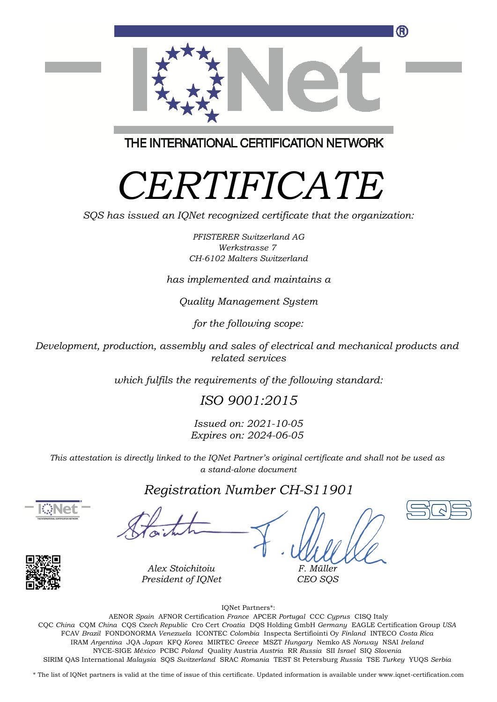

THE INTERNATIONAL CERTIFICATION NETWORK

# *CERTIFICATE*

*SQS has issued an IQNet recognized certificate that the organization:*

*PFISTERER Switzerland AG Werkstrasse 7 CH-6102 Malters Switzerland*

*has implemented and maintains a*

*Quality Management System*

*for the following scope:*

*Development, production, assembly and sales of electrical and mechanical products and related services*

*which fulfils the requirements of the following standard:*

## *ISO 9001:2015*

*Issued on: 2021-10-05 Expires on: 2024-06-05*

*This attestation is directly linked to the IQNet Partner's original certificate and shall not be used as a stand-alone document*

### *Registration Number CH-S11901*





*Alex Stoichitoiu President of IQNet*

*F. Müller CEO SQS*

IQNet Partners\*:

This annex is only valid in connection with the above-mentioned certificate. FCAV *Brazil* FONDONORMA *Venezuela* ICONTEC *Colombia* Inspecta Sertifiointi Oy *Finland* INTECO *Costa Rica* AENOR *Spain* AFNOR Certification *France* APCER *Portugal* CCC *Cyprus* CISQ Italy CQC *China* CQM *China* CQS *Czech Republic* Cro Cert *Croatia* DQS Holding GmbH *Germany* EAGLE Certification Group *USA* IRAM *Argentina* JQA *Japan* KFQ *Korea* MIRTEC *Greece* MSZT *Hungary* Nemko AS *Norway* NSAI *Ireland* NYCE-SIGE *México* PCBC *Poland* Quality Austria *Austria* RR *Russia* SII *Israel* SIQ *Slovenia* SIRIM QAS International *Malaysia* SQS *Switzerland* SRAC *Romania* TEST St Petersburg *Russia* TSE *Turkey* YUQS *Serbia*

\* The list of IQNet partners is valid at the time of issue of this certificate. Updated information is available under www.iqnet-certification.com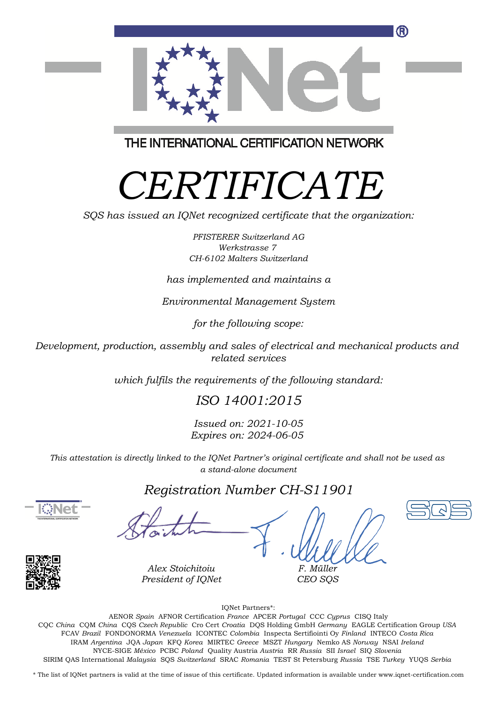

THE INTERNATIONAL CERTIFICATION NETWORK

# *CERTIFICATE*

*SQS has issued an IQNet recognized certificate that the organization:*

*PFISTERER Switzerland AG Werkstrasse 7 CH-6102 Malters Switzerland*

#### *has implemented and maintains a*

*Environmental Management System*

*for the following scope:*

*Development, production, assembly and sales of electrical and mechanical products and related services*

*which fulfils the requirements of the following standard:*

## *ISO 14001:2015*

*Issued on: 2021-10-05 Expires on: 2024-06-05*

*This attestation is directly linked to the IQNet Partner's original certificate and shall not be used as a stand-alone document*

### *Registration Number CH-S11901*







*Alex Stoichitoiu President of IQNet*

*F. Müller CEO SQS*

IQNet Partners\*:

This annex is only valid in connection with the above-mentioned certificate. FCAV *Brazil* FONDONORMA *Venezuela* ICONTEC *Colombia* Inspecta Sertifiointi Oy *Finland* INTECO *Costa Rica* AENOR *Spain* AFNOR Certification *France* APCER *Portugal* CCC *Cyprus* CISQ Italy CQC *China* CQM *China* CQS *Czech Republic* Cro Cert *Croatia* DQS Holding GmbH *Germany* EAGLE Certification Group *USA* IRAM *Argentina* JQA *Japan* KFQ *Korea* MIRTEC *Greece* MSZT *Hungary* Nemko AS *Norway* NSAI *Ireland* NYCE-SIGE *México* PCBC *Poland* Quality Austria *Austria* RR *Russia* SII *Israel* SIQ *Slovenia* SIRIM QAS International *Malaysia* SQS *Switzerland* SRAC *Romania* TEST St Petersburg *Russia* TSE *Turkey* YUQS *Serbia*

\* The list of IQNet partners is valid at the time of issue of this certificate. Updated information is available under www.iqnet-certification.com